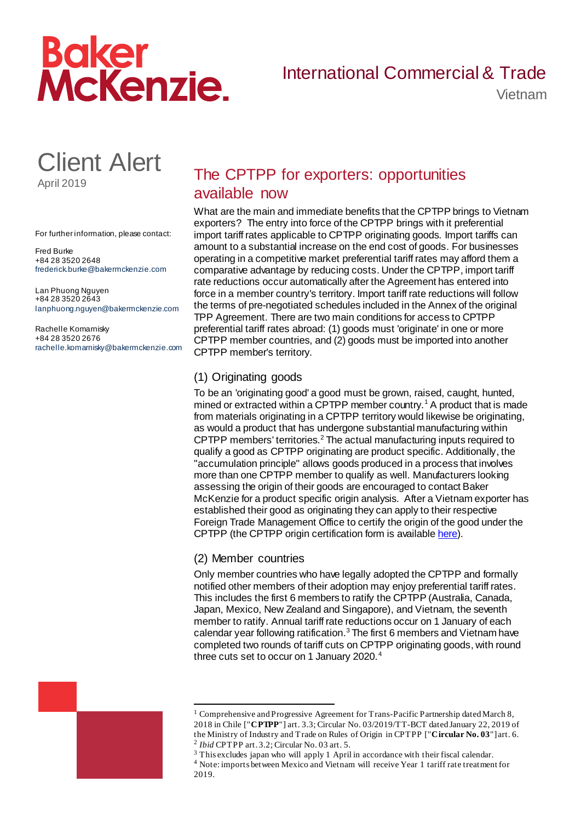# Baker<br>McKenzie.

### International Commercial & Trade

Vietnam

## Client Alert

April 2019

For further information, please contact:

Fred Burke +84 28 3520 2648 frederick.burke@bakermckenzie.com

Lan Phuong Nguyen +84 28 3520 2643 lanphuong.nguyen@bakermckenzie.com

Rachelle Komarnisky +84 28 3520 2676 rachelle.komarnisky@bakermckenzie.com

#### The CPTPP for exporters: opportunities available now

What are the main and immediate benefits that the CPTPP brings to Vietnam exporters? The entry into force of the CPTPP brings with it preferential import tariff rates applicable to CPTPP originating goods. Import tariffs can amount to a substantial increase on the end cost of goods. For businesses operating in a competitive market preferential tariff rates may afford them a comparative advantage by reducing costs. Under the CPTPP, import tariff rate reductions occur automatically after the Agreement has entered into force in a member country's territory. Import tariff rate reductions will follow the terms of pre-negotiated schedules included in the Annex of the original TPP Agreement. There are two main conditions for access to CPTPP preferential tariff rates abroad: (1) goods must 'originate' in one or more CPTPP member countries, and (2) goods must be imported into another CPTPP member's territory.

#### (1) Originating goods

To be an 'originating good' a good must be grown, raised, caught, hunted, mined or extracted within a CPTPP member country.<sup>1</sup> A product that is made from materials originating in a CPTPP territory would likewise be originating, as would a product that has undergone substantial manufacturing within CPTPP members' territories. <sup>2</sup> The actual manufacturing inputs required to qualify a good as CPTPP originating are product specific. Additionally, the "accumulation principle" allows goods produced in a process that involves more than one CPTPP member to qualify as well. Manufacturers looking assessing the origin of their goods are encouraged to contact Baker McKenzie for a product specific origin analysis. After a Vietnam exporter has established their good as originating they can apply to their respective Foreign Trade Management Office to certify the origin of the good under the CPTPP (the CPTPP origin certification form is available [here](https://f.datasrvr.com/fr1/219/25812/CPTPP_C_O_Form.DOCX?cbcachex=161007)).

#### (2) Member countries

.

Only member countries who have legally adopted the CPTPP and formally notified other members of their adoption may enjoy preferential tariff rates. This includes the first 6 members to ratify the CPTPP (Australia, Canada, Japan, Mexico, New Zealand and Singapore), and Vietnam, the seventh member to ratify. Annual tariff rate reductions occur on 1 January of each calendar year following ratification. $3$  The first 6 members and Vietnam have completed two rounds of tariff cuts on CPTPP originating goods, with round three cuts set to occur on 1 January 2020.<sup>4</sup>



<sup>&</sup>lt;sup>1</sup> Comprehensive and Progressive Agreement for Trans-Pacific Partnership dated March 8, 2018 in Chile ["**CPTPP**"] art. 3.3; Circular No. 03/2019/TT-BCT dated January 22, 2019 of the Ministry of Industry and Trade on Rules of Origin in CPTPP ["**Circular No. 03**"] art. 6. 2 *Ibid* CPTPP art. 3.2; Circular No. 03 art. 5.

<sup>3</sup> This excludes japan who will apply 1 April in accordance with their fiscal calendar. <sup>4</sup> Note: imports between Mexico and Vietnam will receive Year 1 tariff rate treatment for 2019.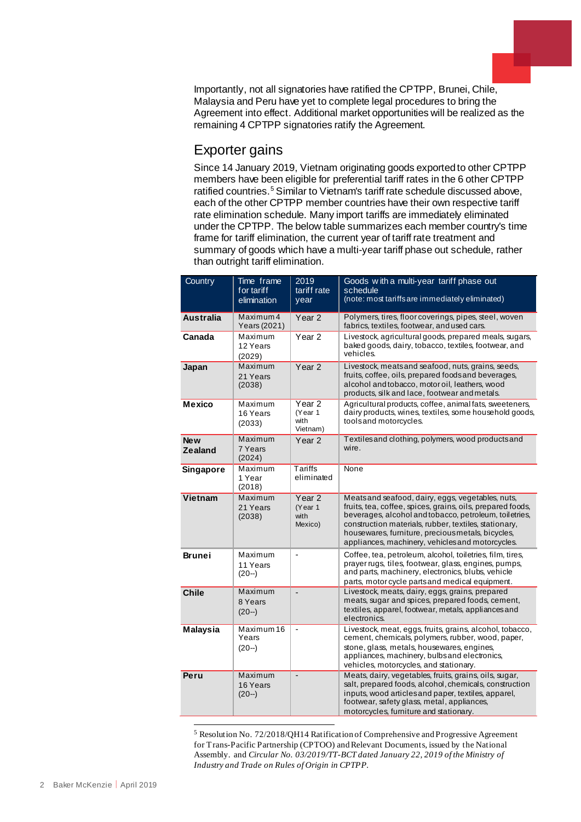Importantly, not all signatories have ratified the CPTPP, Brunei, Chile, Malaysia and Peru have yet to complete legal procedures to bring the Agreement into effect. Additional market opportunities will be realized as the remaining 4 CPTPP signatories ratify the Agreement.

#### Exporter gains

Since 14 January 2019, Vietnam originating goods exported to other CPTPP members have been eligible for preferential tariff rates in the 6 other CPTPP ratified countries.<sup>5</sup> Similar to Vietnam's tariff rate schedule discussed above, each of the other CPTPP member countries have their own respective tariff rate elimination schedule. Many import tariffs are immediately eliminated under the CPTPP. The below table summarizes each member country's time frame for tariff elimination, the current year of tariff rate treatment and summary of goods which have a multi-year tariff phase out schedule, rather than outright tariff elimination.

| Country                      | Time frame<br>for tariff<br>elimination | 2019<br>tariff rate<br>vear           | Goods with a multi-year tariff phase out<br>schedule<br>(note: most tariffs are immediately eliminated)                                                                                                                                                                                                                                     |
|------------------------------|-----------------------------------------|---------------------------------------|---------------------------------------------------------------------------------------------------------------------------------------------------------------------------------------------------------------------------------------------------------------------------------------------------------------------------------------------|
| <b>Australia</b>             | Maximum 4<br>Years (2021)               | Year 2                                | Polymers, tires, floor coverings, pipes, steel, woven<br>fabrics, textiles, footwear, and used cars.                                                                                                                                                                                                                                        |
| Canada                       | Maximum<br>12 Years<br>(2029)           | Year <sub>2</sub>                     | Livestock, agricultural goods, prepared meals, sugars,<br>baked goods, dairy, tobacco, textiles, footwear, and<br>vehicles.                                                                                                                                                                                                                 |
| Japan                        | Maximum<br>21 Years<br>(2038)           | Year <sub>2</sub>                     | Livestock, meats and seafood, nuts, grains, seeds,<br>fruits, coffee, oils, prepared foods and beverages,<br>alcohol and tobacco, motor oil, leathers, wood<br>products, silk and lace, footwear and metals.                                                                                                                                |
| <b>Mexico</b>                | Maximum<br>16 Years<br>(2033)           | Year 2<br>(Year 1<br>with<br>Vietnam) | Agricultural products, coffee, animal fats, sweeteners,<br>dairy products, wines, textiles, some household goods,<br>tools and motorcycles.                                                                                                                                                                                                 |
| <b>New</b><br><b>Zealand</b> | Maximum<br>7 Years<br>(2024)            | Year 2                                | Textiles and clothing, polymers, wood products and<br>wire.                                                                                                                                                                                                                                                                                 |
| Singapore                    | Maximum<br>1 Year<br>(2018)             | Tariffs<br>eliminated                 | None                                                                                                                                                                                                                                                                                                                                        |
| Vietnam                      | Maximum<br>21 Years<br>(2038)           | Year 2<br>(Year 1<br>with<br>Mexico)  | Meats and seafood, dairy, eggs, vegetables, nuts,<br>fruits, tea, coffee, spices, grains, oils, prepared foods,<br>beverages, alcohol and tobacco, petroleum, toiletries,<br>construction materials, rubber, textiles, stationary,<br>housewares, furniture, precious metals, bicycles,<br>appliances, machinery, vehicles and motorcycles. |
| Brunei                       | Maximum<br>11 Years<br>$(20-)$          | ÷,                                    | Coffee, tea, petroleum, alcohol, toiletries, film, tires,<br>prayer rugs, tiles, footwear, glass, engines, pumps,<br>and parts, machinery, electronics, blubs, vehicle<br>parts, motor cycle parts and medical equipment.                                                                                                                   |
| <b>Chile</b>                 | Maximum<br>8 Years<br>$(20-)$           | ÷                                     | Livestock, meats, dairy, eggs, grains, prepared<br>meats, sugar and spices, prepared foods, cement,<br>textiles, apparel, footwear, metals, appliances and<br>electronics.                                                                                                                                                                  |
| <b>Malaysia</b>              | Maximum 16<br>Years<br>$(20-)$          | $\overline{\phantom{a}}$              | Livestock, meat, eggs, fruits, grains, alcohol, tobacco,<br>cement, chemicals, polymers, rubber, wood, paper,<br>stone, glass, metals, housewares, engines,<br>appliances, machinery, bulbs and electronics,<br>vehicles, motorcycles, and stationary.                                                                                      |
| Peru                         | Maximum<br>16 Years<br>$(20-)$          | $\overline{a}$                        | Meats, dairy, vegetables, fruits, grains, oils, sugar,<br>salt, prepared foods, alcohol, chemicals, construction<br>inputs, wood articles and paper, textiles, apparel,<br>footwear, safety glass, metal, appliances,<br>motorcycles, furniture and stationary.                                                                             |

<sup>1</sup> <sup>5</sup> Resolution No. 72/2018/QH14 Ratification of Comprehensive and Progressive Agreement for Trans-Pacific Partnership (CPTOO) and Relevant Documents, issued by the National Assembly. and *Circular No. 03/2019/TT-BCT dated January 22, 2019 of the Ministry of Industry and Trade on Rules of Origin in CPTPP.*